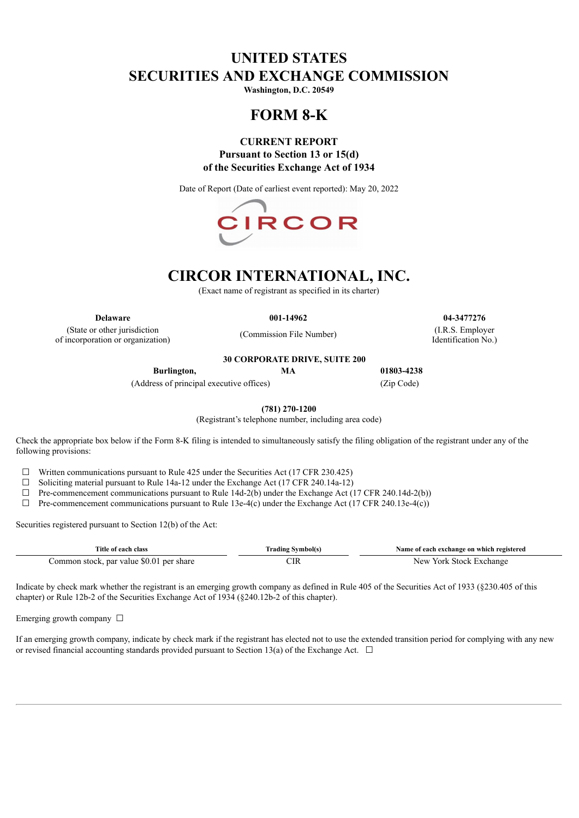# **UNITED STATES SECURITIES AND EXCHANGE COMMISSION**

**Washington, D.C. 20549**

# **FORM 8-K**

# **CURRENT REPORT Pursuant to Section 13 or 15(d) of the Securities Exchange Act of 1934**

Date of Report (Date of earliest event reported): May 20, 2022



# **CIRCOR INTERNATIONAL, INC.**

(Exact name of registrant as specified in its charter)

(State or other jurisdiction of incorporation or organization)

**30 CORPORATE DRIVE, SUITE 200**

(Commission File Number)

**Delaware 001-14962 04-3477276** (I.R.S. Employer Identification No.)

**Burlington, MA 01803-4238**

(Address of principal executive offices) (Zip Code)

**(781) 270-1200**

(Registrant's telephone number, including area code)

Check the appropriate box below if the Form 8-K filing is intended to simultaneously satisfy the filing obligation of the registrant under any of the following provisions:

 $\Box$  Written communications pursuant to Rule 425 under the Securities Act (17 CFR 230.425)

☐ Soliciting material pursuant to Rule 14a-12 under the Exchange Act (17 CFR 240.14a-12)

 $\Box$  Pre-commencement communications pursuant to Rule 14d-2(b) under the Exchange Act (17 CFR 240.14d-2(b))

 $\Box$  Pre-commencement communications pursuant to Rule 13e-4(c) under the Exchange Act (17 CFR 240.13e-4(c))

Securities registered pursuant to Section 12(b) of the Act:

| Title of each class                      | Trading Symbol(s) | Name of each exchange on which registered |
|------------------------------------------|-------------------|-------------------------------------------|
| Common stock, par value \$0.01 per share |                   | New York Stock Exchange                   |

Indicate by check mark whether the registrant is an emerging growth company as defined in Rule 405 of the Securities Act of 1933 (§230.405 of this chapter) or Rule 12b-2 of the Securities Exchange Act of 1934 (§240.12b-2 of this chapter).

Emerging growth company  $\Box$ 

If an emerging growth company, indicate by check mark if the registrant has elected not to use the extended transition period for complying with any new or revised financial accounting standards provided pursuant to Section 13(a) of the Exchange Act.  $\Box$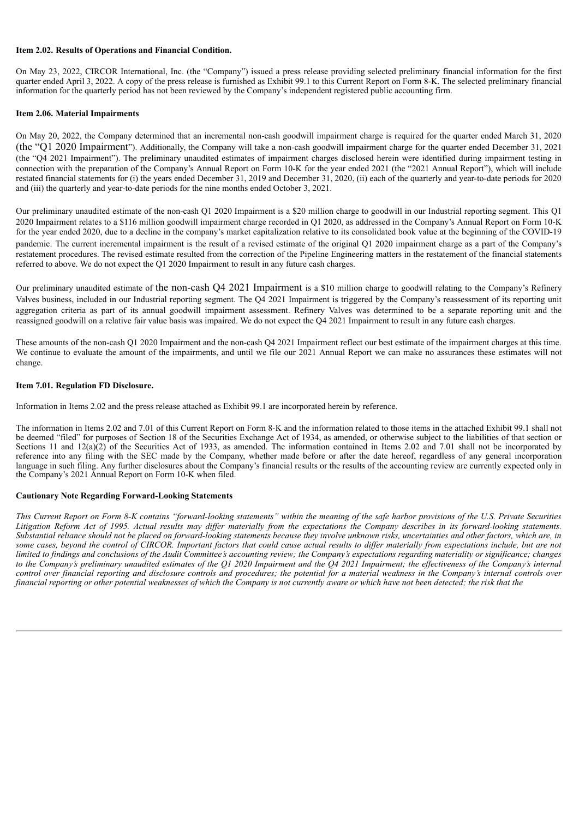#### **Item 2.02. Results of Operations and Financial Condition.**

On May 23, 2022, CIRCOR International, Inc. (the "Company") issued a press release providing selected preliminary financial information for the first quarter ended April 3, 2022. A copy of the press release is furnished as Exhibit 99.1 to this Current Report on Form 8-K. The selected preliminary financial information for the quarterly period has not been reviewed by the Company's independent registered public accounting firm.

### **Item 2.06. Material Impairments**

On May 20, 2022, the Company determined that an incremental non-cash goodwill impairment charge is required for the quarter ended March 31, 2020 (the "Q1 2020 Impairment"). Additionally, the Company will take a non-cash goodwill impairment charge for the quarter ended December 31, 2021 (the "Q4 2021 Impairment"). The preliminary unaudited estimates of impairment charges disclosed herein were identified during impairment testing in connection with the preparation of the Company's Annual Report on Form 10-K for the year ended 2021 (the "2021 Annual Report"), which will include restated financial statements for (i) the years ended December 31, 2019 and December 31, 2020, (ii) each of the quarterly and year-to-date periods for 2020 and (iii) the quarterly and year-to-date periods for the nine months ended October 3, 2021.

Our preliminary unaudited estimate of the non-cash Q1 2020 Impairment is a \$20 million charge to goodwill in our Industrial reporting segment. This Q1 2020 Impairment relates to a \$116 million goodwill impairment charge recorded in Q1 2020, as addressed in the Company's Annual Report on Form 10-K for the year ended 2020, due to a decline in the company's market capitalization relative to its consolidated book value at the beginning of the COVID-19 pandemic. The current incremental impairment is the result of a revised estimate of the original Q1 2020 impairment charge as a part of the Company's restatement procedures. The revised estimate resulted from the correction of the Pipeline Engineering matters in the restatement of the financial statements referred to above. We do not expect the Q1 2020 Impairment to result in any future cash charges.

Our preliminary unaudited estimate of the non-cash Q4 2021 Impairment is a \$10 million charge to goodwill relating to the Company's Refinery Valves business, included in our Industrial reporting segment. The Q4 2021 Impairment is triggered by the Company's reassessment of its reporting unit aggregation criteria as part of its annual goodwill impairment assessment. Refinery Valves was determined to be a separate reporting unit and the reassigned goodwill on a relative fair value basis was impaired. We do not expect the Q4 2021 Impairment to result in any future cash charges.

These amounts of the non-cash Q1 2020 Impairment and the non-cash Q4 2021 Impairment reflect our best estimate of the impairment charges at this time. We continue to evaluate the amount of the impairments, and until we file our 2021 Annual Report we can make no assurances these estimates will not change.

### **Item 7.01. Regulation FD Disclosure.**

Information in Items 2.02 and the press release attached as Exhibit 99.1 are incorporated herein by reference.

The information in Items 2.02 and 7.01 of this Current Report on Form 8-K and the information related to those items in the attached Exhibit 99.1 shall not be deemed "filed" for purposes of Section 18 of the Securities Exchange Act of 1934, as amended, or otherwise subject to the liabilities of that section or Sections 11 and  $12(a)(2)$  of the Securities Act of 1933, as amended. The information contained in Items 2.02 and 7.01 shall not be incorporated by reference into any filing with the SEC made by the Company, whether made before or after the date hereof, regardless of any general incorporation language in such filing. Any further disclosures about the Company's financial results or the results of the accounting review are currently expected only in the Company's 2021 Annual Report on Form 10-K when filed.

### **Cautionary Note Regarding Forward-Looking Statements**

This Current Report on Form 8-K contains "forward-looking statements" within the meaning of the safe harbor provisions of the U.S. Private Securities Litigation Reform Act of 1995. Actual results may differ materially from the expectations the Company describes in its forward-looking statements. Substantial reliance should not be placed on forward-looking statements because they involve unknown risks, uncertainties and other factors, which are, in some cases, beyond the control of CIRCOR. Important factors that could cause actual results to differ materially from expectations include, but are not limited to findings and conclusions of the Audit Committee's accounting review; the Company's expectations regarding materiality or significance; changes to the Company's preliminary unaudited estimates of the Q1 2020 Impairment and the Q4 2021 Impairment; the effectiveness of the Company's internal control over financial reporting and disclosure controls and procedures; the potential for a material weakness in the Company's internal controls over financial reporting or other potential weaknesses of which the Company is not currently aware or which have not been detected; the risk that the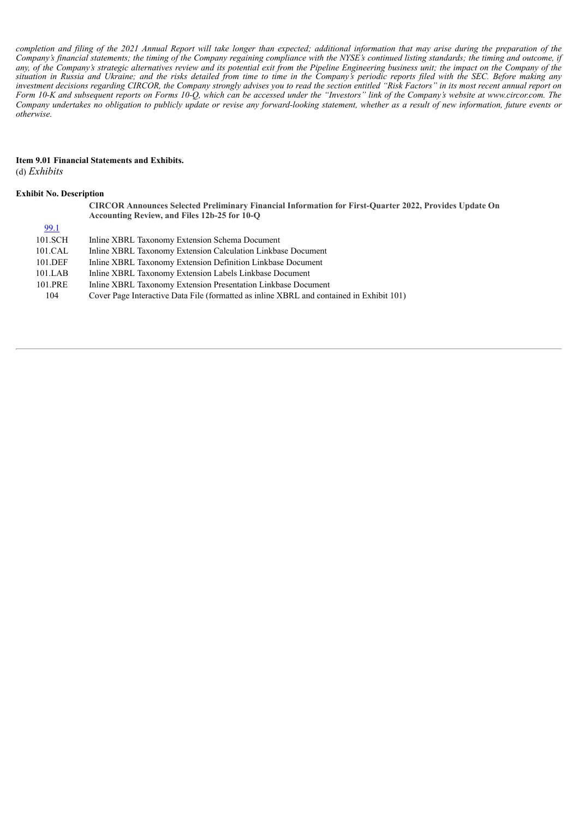completion and filing of the 2021 Annual Report will take longer than expected; additional information that may arise during the preparation of the Company's financial statements; the timing of the Company regaining compliance with the NYSE's continued listing standards; the timing and outcome, if any, of the Company's strategic alternatives review and its potential exit from the Pipeline Engineering business unit; the impact on the Company of the situation in Russia and Ukraine; and the risks detailed from time to time in the Company's periodic reports filed with the SEC. Before making any investment decisions regarding CIRCOR, the Company strongly advises you to read the section entitled "Risk Factors" in its most recent annual report on Form 10-K and subsequent reports on Forms 10-Q, which can be accessed under the "Investors" link of the Company's website at www.circor.com. The Company undertakes no obligation to publicly update or revise any forward-looking statement, whether as a result of new information, future events or *otherwise.*

#### **Item 9.01 Financial Statements and Exhibits.** (d) *Exhibits*

### **Exhibit No. Description**

**CIRCOR Announces Selected Preliminary Financial Information for First-Quarter 2022, Provides Update On Accounting Review, and Files 12b-25 for 10-Q**

| 99.1       |                                                                                          |
|------------|------------------------------------------------------------------------------------------|
| 101.SCH    | Inline XBRL Taxonomy Extension Schema Document                                           |
| 101.CAL    | Inline XBRL Taxonomy Extension Calculation Linkbase Document                             |
| 101.DEF    | Inline XBRL Taxonomy Extension Definition Linkbase Document                              |
| $101$ .LAB | Inline XBRL Taxonomy Extension Labels Linkbase Document                                  |
| 101.PRE    | Inline XBRL Taxonomy Extension Presentation Linkbase Document                            |
| 104        | Cover Page Interactive Data File (formatted as inline XBRL and contained in Exhibit 101) |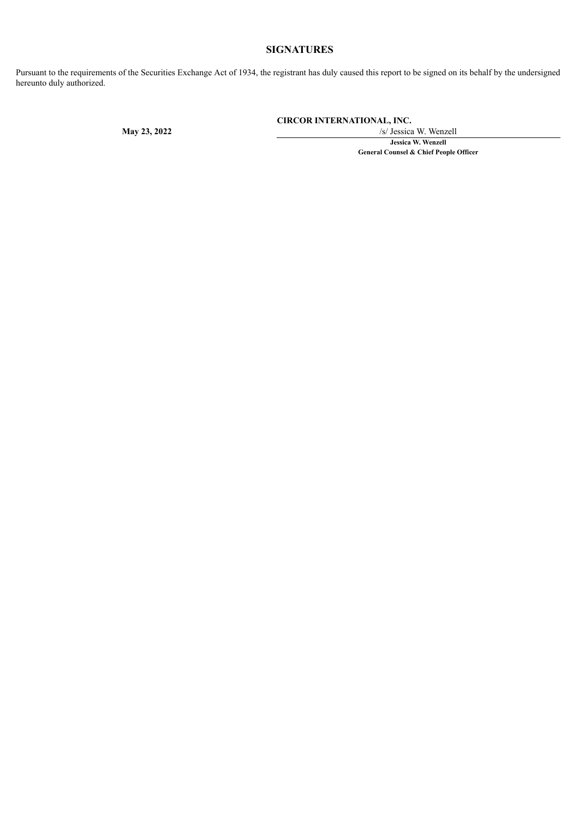# **SIGNATURES**

Pursuant to the requirements of the Securities Exchange Act of 1934, the registrant has duly caused this report to be signed on its behalf by the undersigned hereunto duly authorized.

**CIRCOR INTERNATIONAL, INC.**

**May 23, 2022** /s/ Jessica W. Wenzell **Jessica W. Wenzell General Counsel & Chief People Officer**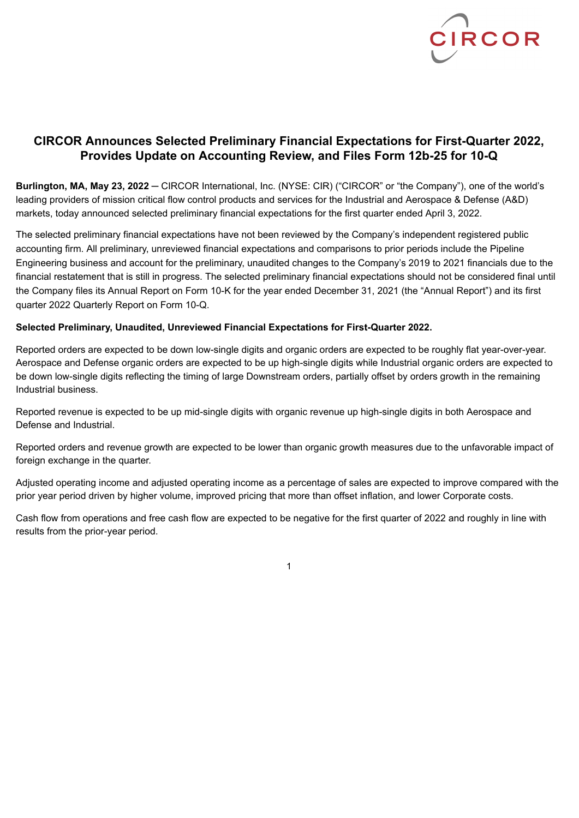

# <span id="page-4-0"></span>**CIRCOR Announces Selected Preliminary Financial Expectations for First-Quarter 2022, Provides Update on Accounting Review, and Files Form 12b-25 for 10-Q**

**Burlington, MA, May 23, 2022** ─ CIRCOR International, Inc. (NYSE: CIR) ("CIRCOR" or "the Company"), one of the world's leading providers of mission critical flow control products and services for the Industrial and Aerospace & Defense (A&D) markets, today announced selected preliminary financial expectations for the first quarter ended April 3, 2022.

The selected preliminary financial expectations have not been reviewed by the Company's independent registered public accounting firm. All preliminary, unreviewed financial expectations and comparisons to prior periods include the Pipeline Engineering business and account for the preliminary, unaudited changes to the Company's 2019 to 2021 financials due to the financial restatement that is still in progress. The selected preliminary financial expectations should not be considered final until the Company files its Annual Report on Form 10-K for the year ended December 31, 2021 (the "Annual Report") and its first quarter 2022 Quarterly Report on Form 10-Q.

## **Selected Preliminary, Unaudited, Unreviewed Financial Expectations for First-Quarter 2022.**

Reported orders are expected to be down low-single digits and organic orders are expected to be roughly flat year-over-year. Aerospace and Defense organic orders are expected to be up high-single digits while Industrial organic orders are expected to be down low-single digits reflecting the timing of large Downstream orders, partially offset by orders growth in the remaining Industrial business.

Reported revenue is expected to be up mid-single digits with organic revenue up high-single digits in both Aerospace and Defense and Industrial.

Reported orders and revenue growth are expected to be lower than organic growth measures due to the unfavorable impact of foreign exchange in the quarter.

Adjusted operating income and adjusted operating income as a percentage of sales are expected to improve compared with the prior year period driven by higher volume, improved pricing that more than offset inflation, and lower Corporate costs.

Cash flow from operations and free cash flow are expected to be negative for the first quarter of 2022 and roughly in line with results from the prior-year period.

1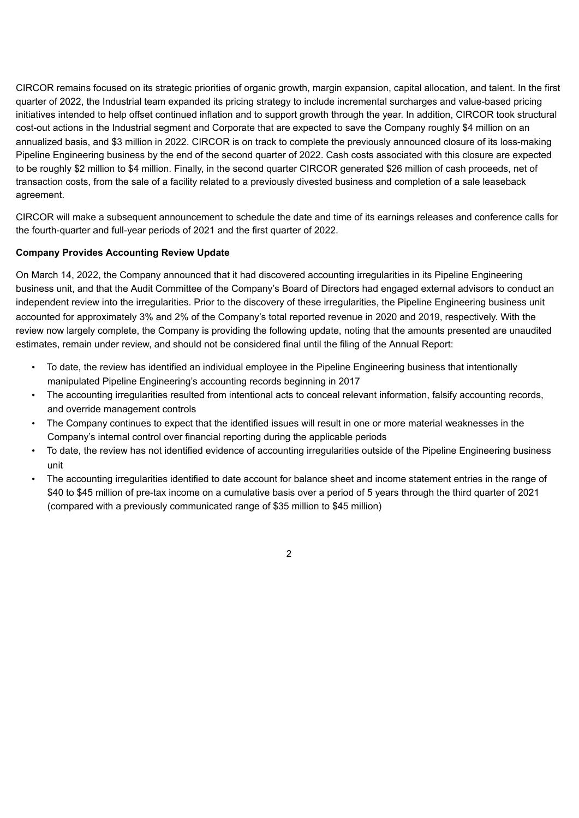CIRCOR remains focused on its strategic priorities of organic growth, margin expansion, capital allocation, and talent. In the first quarter of 2022, the Industrial team expanded its pricing strategy to include incremental surcharges and value-based pricing initiatives intended to help offset continued inflation and to support growth through the year. In addition, CIRCOR took structural cost-out actions in the Industrial segment and Corporate that are expected to save the Company roughly \$4 million on an annualized basis, and \$3 million in 2022. CIRCOR is on track to complete the previously announced closure of its loss-making Pipeline Engineering business by the end of the second quarter of 2022. Cash costs associated with this closure are expected to be roughly \$2 million to \$4 million. Finally, in the second quarter CIRCOR generated \$26 million of cash proceeds, net of transaction costs, from the sale of a facility related to a previously divested business and completion of a sale leaseback agreement.

CIRCOR will make a subsequent announcement to schedule the date and time of its earnings releases and conference calls for the fourth-quarter and full-year periods of 2021 and the first quarter of 2022.

# **Company Provides Accounting Review Update**

On March 14, 2022, the Company announced that it had discovered accounting irregularities in its Pipeline Engineering business unit, and that the Audit Committee of the Company's Board of Directors had engaged external advisors to conduct an independent review into the irregularities. Prior to the discovery of these irregularities, the Pipeline Engineering business unit accounted for approximately 3% and 2% of the Company's total reported revenue in 2020 and 2019, respectively. With the review now largely complete, the Company is providing the following update, noting that the amounts presented are unaudited estimates, remain under review, and should not be considered final until the filing of the Annual Report:

- To date, the review has identified an individual employee in the Pipeline Engineering business that intentionally manipulated Pipeline Engineering's accounting records beginning in 2017
- The accounting irregularities resulted from intentional acts to conceal relevant information, falsify accounting records, and override management controls
- The Company continues to expect that the identified issues will result in one or more material weaknesses in the Company's internal control over financial reporting during the applicable periods
- To date, the review has not identified evidence of accounting irregularities outside of the Pipeline Engineering business unit
- The accounting irregularities identified to date account for balance sheet and income statement entries in the range of \$40 to \$45 million of pre-tax income on a cumulative basis over a period of 5 years through the third quarter of 2021 (compared with a previously communicated range of \$35 million to \$45 million)

2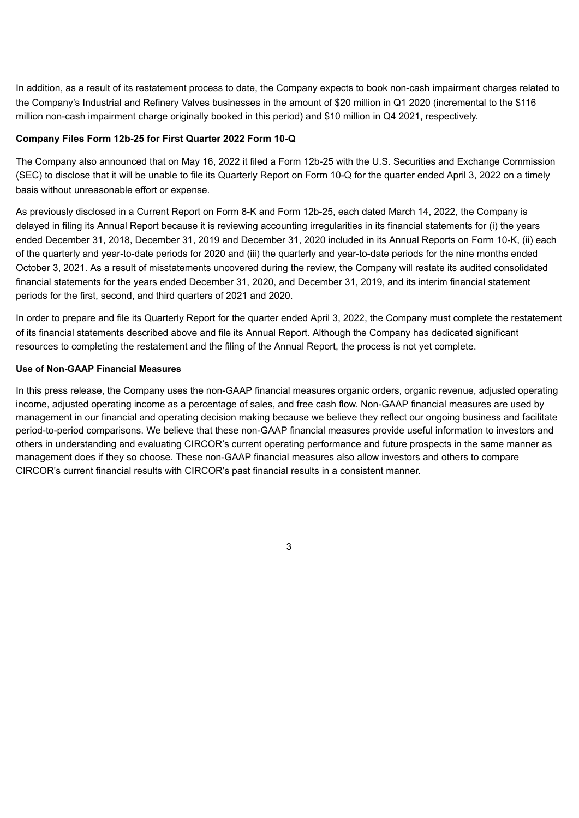In addition, as a result of its restatement process to date, the Company expects to book non-cash impairment charges related to the Company's Industrial and Refinery Valves businesses in the amount of \$20 million in Q1 2020 (incremental to the \$116 million non-cash impairment charge originally booked in this period) and \$10 million in Q4 2021, respectively.

### **Company Files Form 12b-25 for First Quarter 2022 Form 10-Q**

The Company also announced that on May 16, 2022 it filed a Form 12b-25 with the U.S. Securities and Exchange Commission (SEC) to disclose that it will be unable to file its Quarterly Report on Form 10-Q for the quarter ended April 3, 2022 on a timely basis without unreasonable effort or expense.

As previously disclosed in a Current Report on Form 8-K and Form 12b-25, each dated March 14, 2022, the Company is delayed in filing its Annual Report because it is reviewing accounting irregularities in its financial statements for (i) the years ended December 31, 2018, December 31, 2019 and December 31, 2020 included in its Annual Reports on Form 10-K, (ii) each of the quarterly and year-to-date periods for 2020 and (iii) the quarterly and year-to-date periods for the nine months ended October 3, 2021. As a result of misstatements uncovered during the review, the Company will restate its audited consolidated financial statements for the years ended December 31, 2020, and December 31, 2019, and its interim financial statement periods for the first, second, and third quarters of 2021 and 2020.

In order to prepare and file its Quarterly Report for the quarter ended April 3, 2022, the Company must complete the restatement of its financial statements described above and file its Annual Report. Although the Company has dedicated significant resources to completing the restatement and the filing of the Annual Report, the process is not yet complete.

### **Use of Non-GAAP Financial Measures**

In this press release, the Company uses the non-GAAP financial measures organic orders, organic revenue, adjusted operating income, adjusted operating income as a percentage of sales, and free cash flow. Non-GAAP financial measures are used by management in our financial and operating decision making because we believe they reflect our ongoing business and facilitate period-to-period comparisons. We believe that these non-GAAP financial measures provide useful information to investors and others in understanding and evaluating CIRCOR's current operating performance and future prospects in the same manner as management does if they so choose. These non-GAAP financial measures also allow investors and others to compare CIRCOR's current financial results with CIRCOR's past financial results in a consistent manner.

3